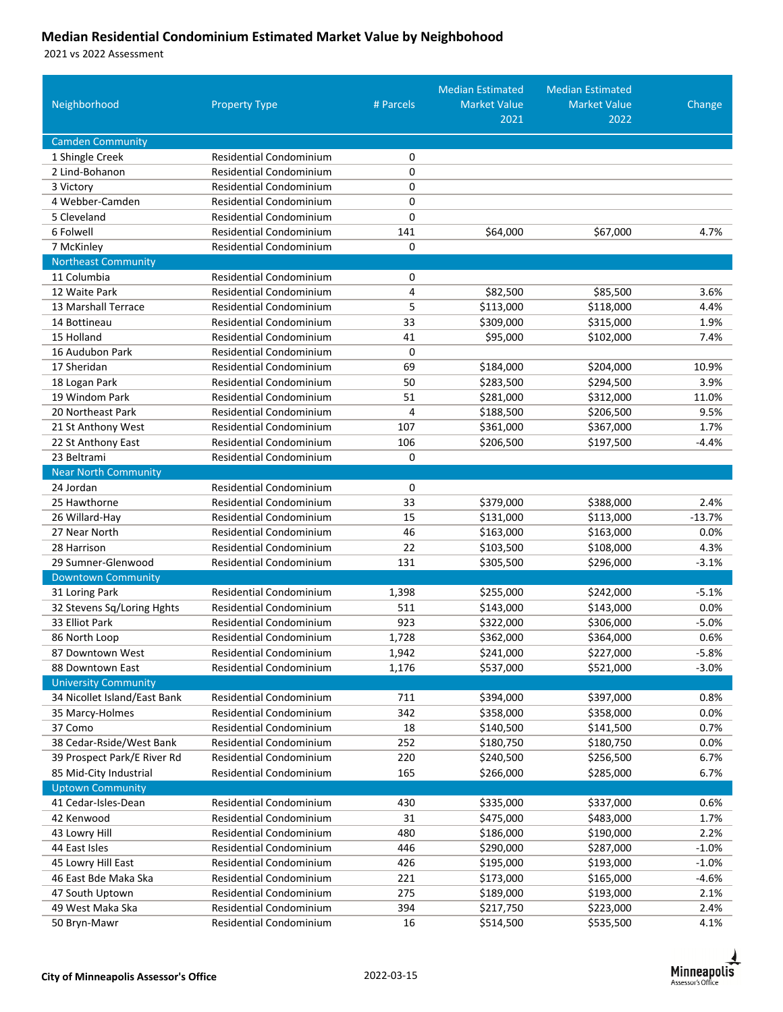## **Median Residential Condominium Estimated Market Value by Neighbohood**

vs 2022 Assessment

| Neighborhood                                 | <b>Property Type</b>                                      | # Parcels      | <b>Median Estimated</b><br><b>Market Value</b> | <b>Median Estimated</b><br><b>Market Value</b> | Change          |
|----------------------------------------------|-----------------------------------------------------------|----------------|------------------------------------------------|------------------------------------------------|-----------------|
|                                              |                                                           |                | 2021                                           | 2022                                           |                 |
| <b>Camden Community</b>                      |                                                           |                |                                                |                                                |                 |
| 1 Shingle Creek                              | <b>Residential Condominium</b>                            | 0              |                                                |                                                |                 |
| 2 Lind-Bohanon                               | Residential Condominium                                   | 0              |                                                |                                                |                 |
| 3 Victory                                    | <b>Residential Condominium</b>                            | 0              |                                                |                                                |                 |
| 4 Webber-Camden                              | <b>Residential Condominium</b>                            | 0              |                                                |                                                |                 |
| 5 Cleveland                                  | <b>Residential Condominium</b>                            | 0              |                                                |                                                |                 |
| 6 Folwell                                    | <b>Residential Condominium</b>                            | 141            | \$64,000                                       | \$67,000                                       | 4.7%            |
| 7 McKinley                                   | Residential Condominium                                   | 0              |                                                |                                                |                 |
| <b>Northeast Community</b>                   |                                                           |                |                                                |                                                |                 |
| 11 Columbia                                  | <b>Residential Condominium</b>                            | 0              |                                                |                                                |                 |
| 12 Waite Park                                | <b>Residential Condominium</b>                            | 4              | \$82,500                                       | \$85,500                                       | 3.6%            |
| 13 Marshall Terrace                          | <b>Residential Condominium</b>                            | 5              | \$113,000                                      | \$118,000                                      | 4.4%            |
| 14 Bottineau                                 | <b>Residential Condominium</b>                            | 33             | \$309,000                                      | \$315,000                                      | 1.9%            |
| 15 Holland                                   | Residential Condominium                                   | 41             | \$95,000                                       | \$102,000                                      | 7.4%            |
| 16 Audubon Park                              | Residential Condominium                                   | 0              |                                                |                                                |                 |
| 17 Sheridan                                  | Residential Condominium                                   | 69             | \$184,000                                      | \$204,000                                      | 10.9%           |
| 18 Logan Park                                | <b>Residential Condominium</b>                            | 50             | \$283,500                                      | \$294,500                                      | 3.9%            |
| 19 Windom Park                               | Residential Condominium                                   | 51             | \$281,000                                      | \$312,000                                      | 11.0%           |
| 20 Northeast Park                            | <b>Residential Condominium</b>                            | 4              | \$188,500                                      | \$206,500                                      | 9.5%            |
| 21 St Anthony West                           | <b>Residential Condominium</b>                            | 107            | \$361,000                                      | \$367,000                                      | 1.7%            |
| 22 St Anthony East                           | <b>Residential Condominium</b>                            | 106            | \$206,500                                      | \$197,500                                      | $-4.4%$         |
| 23 Beltrami                                  | Residential Condominium                                   | 0              |                                                |                                                |                 |
| <b>Near North Community</b>                  |                                                           |                |                                                |                                                |                 |
| 24 Jordan                                    | <b>Residential Condominium</b>                            | 0              |                                                |                                                |                 |
| 25 Hawthorne                                 | <b>Residential Condominium</b>                            | 33             | \$379,000                                      | \$388,000                                      | 2.4%            |
| 26 Willard-Hay                               | <b>Residential Condominium</b>                            | 15             | \$131,000                                      | \$113,000                                      | $-13.7%$        |
| 27 Near North                                | <b>Residential Condominium</b>                            | 46             | \$163,000                                      | \$163,000                                      | 0.0%            |
| 28 Harrison                                  | <b>Residential Condominium</b>                            | 22             | \$103,500                                      | \$108,000                                      | 4.3%            |
| 29 Sumner-Glenwood                           | <b>Residential Condominium</b>                            | 131            | \$305,500                                      | \$296,000                                      | $-3.1%$         |
| <b>Downtown Community</b>                    |                                                           |                |                                                |                                                |                 |
| 31 Loring Park                               | <b>Residential Condominium</b>                            | 1,398          | \$255,000                                      | \$242,000                                      | $-5.1%$         |
| 32 Stevens Sq/Loring Hghts<br>33 Elliot Park | Residential Condominium<br><b>Residential Condominium</b> | 511<br>923     | \$143,000                                      | \$143,000                                      | 0.0%<br>$-5.0%$ |
|                                              | <b>Residential Condominium</b>                            |                | \$322,000                                      | \$306,000<br>\$364,000                         | 0.6%            |
| 86 North Loop<br>87 Downtown West            | <b>Residential Condominium</b>                            | 1,728          | \$362,000                                      |                                                | $-5.8%$         |
| 88 Downtown East                             | <b>Residential Condominium</b>                            | 1,942<br>1,176 | \$241,000<br>\$537,000                         | \$227,000<br>\$521,000                         | $-3.0%$         |
| <b>University Community</b>                  |                                                           |                |                                                |                                                |                 |
| 34 Nicollet Island/East Bank                 | Residential Condominium                                   | 711            | \$394,000                                      | \$397,000                                      | 0.8%            |
| 35 Marcy-Holmes                              | <b>Residential Condominium</b>                            | 342            | \$358,000                                      | \$358,000                                      | 0.0%            |
| 37 Como                                      | Residential Condominium                                   | 18             | \$140,500                                      | \$141,500                                      | 0.7%            |
| 38 Cedar-Rside/West Bank                     | Residential Condominium                                   | 252            | \$180,750                                      | \$180,750                                      | 0.0%            |
| 39 Prospect Park/E River Rd                  | Residential Condominium                                   | 220            | \$240,500                                      | \$256,500                                      | 6.7%            |
| 85 Mid-City Industrial                       | Residential Condominium                                   | 165            | \$266,000                                      | \$285,000                                      | 6.7%            |
| <b>Uptown Community</b>                      |                                                           |                |                                                |                                                |                 |
| 41 Cedar-Isles-Dean                          | <b>Residential Condominium</b>                            | 430            | \$335,000                                      | \$337,000                                      | 0.6%            |
| 42 Kenwood                                   | Residential Condominium                                   | 31             | \$475,000                                      | \$483,000                                      | 1.7%            |
| 43 Lowry Hill                                | Residential Condominium                                   | 480            | \$186,000                                      | \$190,000                                      | 2.2%            |
| 44 East Isles                                | Residential Condominium                                   | 446            | \$290,000                                      | \$287,000                                      | $-1.0%$         |
| 45 Lowry Hill East                           | Residential Condominium                                   | 426            | \$195,000                                      | \$193,000                                      | $-1.0%$         |
| 46 East Bde Maka Ska                         | <b>Residential Condominium</b>                            | 221            | \$173,000                                      | \$165,000                                      | $-4.6%$         |
| 47 South Uptown                              | <b>Residential Condominium</b>                            | 275            | \$189,000                                      | \$193,000                                      | 2.1%            |
| 49 West Maka Ska                             | Residential Condominium                                   | 394            | \$217,750                                      | \$223,000                                      | 2.4%            |
| 50 Bryn-Mawr                                 | Residential Condominium                                   | 16             | \$514,500                                      | \$535,500                                      | 4.1%            |